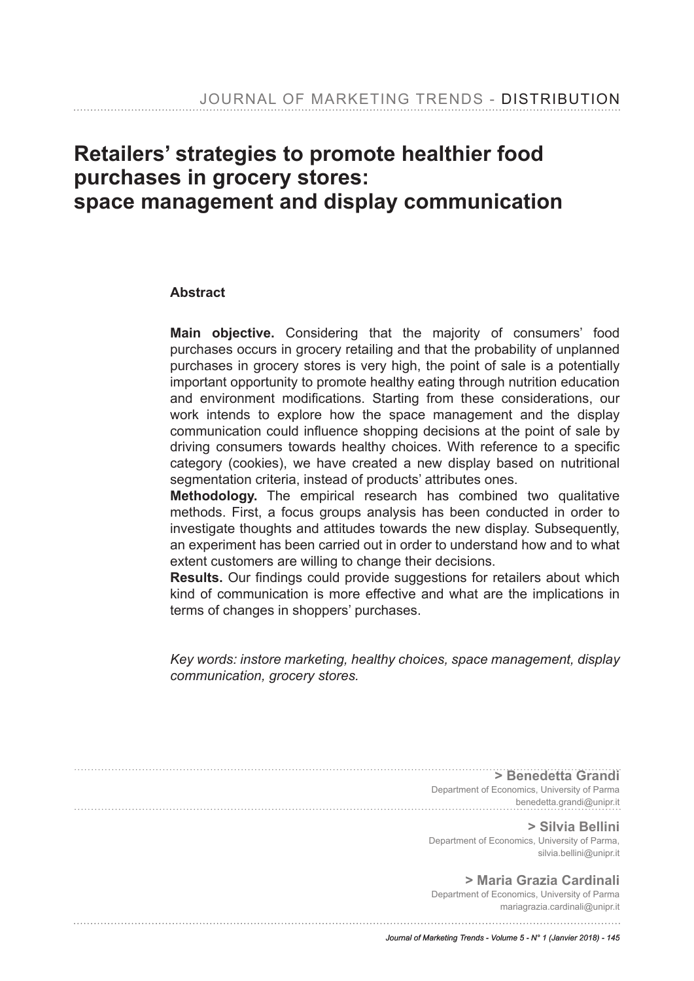# **Retailers' strategies to promote healthier food purchases in grocery stores: space management and display communication**

#### **Abstract**

**Main objective.** Considering that the majority of consumers' food purchases occurs in grocery retailing and that the probability of unplanned purchases in grocery stores is very high, the point of sale is a potentially important opportunity to promote healthy eating through nutrition education and environment modifications. Starting from these considerations, our work intends to explore how the space management and the display communication could infuence shopping decisions at the point of sale by driving consumers towards healthy choices. With reference to a specifc category (cookies), we have created a new display based on nutritional segmentation criteria, instead of products' attributes ones.

**Methodology.** The empirical research has combined two qualitative methods. First, a focus groups analysis has been conducted in order to investigate thoughts and attitudes towards the new display. Subsequently, an experiment has been carried out in order to understand how and to what extent customers are willing to change their decisions.

**Results.** Our findings could provide suggestions for retailers about which kind of communication is more effective and what are the implications in terms of changes in shoppers' purchases.

*Key words: instore marketing, healthy choices, space management, display communication, grocery stores.*

**> Benedetta Grandi** Department of Economics, University of Parma benedetta.grandi@unipr.it **> Silvia Bellini** Department of Economics, University of Parma, silvia.bellini@unipr.it **> Maria Grazia Cardinali** Department of Economics, University of Parma mariagrazia.cardinali@unipr.it *Journal of Marketing Trends - Volume 5 - N° 1 (Janvier 2018) - 145*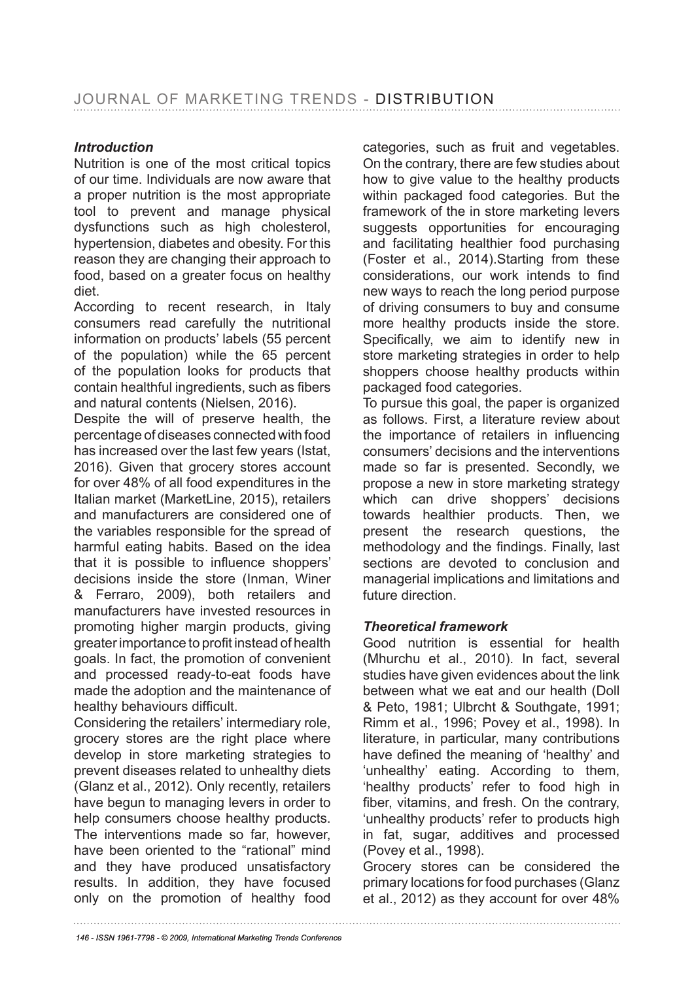### *Introduction*

Nutrition is one of the most critical topics of our time. Individuals are now aware that a proper nutrition is the most appropriate tool to prevent and manage physical dysfunctions such as high cholesterol, hypertension, diabetes and obesity. For this reason they are changing their approach to food, based on a greater focus on healthy diet.

According to recent research, in Italy consumers read carefully the nutritional information on products' labels (55 percent of the population) while the 65 percent of the population looks for products that contain healthful ingredients, such as fibers and natural contents (Nielsen, 2016).

Despite the will of preserve health, the percentage of diseases connected with food has increased over the last few years (Istat, 2016). Given that grocery stores account for over 48% of all food expenditures in the Italian market (MarketLine, 2015), retailers and manufacturers are considered one of the variables responsible for the spread of harmful eating habits. Based on the idea that it is possible to infuence shoppers' decisions inside the store (Inman, Winer & Ferraro, 2009), both retailers and manufacturers have invested resources in promoting higher margin products, giving greater importance to profit instead of health goals. In fact, the promotion of convenient and processed ready-to-eat foods have made the adoption and the maintenance of healthy behaviours difficult.

Considering the retailers' intermediary role, grocery stores are the right place where develop in store marketing strategies to prevent diseases related to unhealthy diets (Glanz et al., 2012). Only recently, retailers have begun to managing levers in order to help consumers choose healthy products. The interventions made so far, however, have been oriented to the "rational" mind and they have produced unsatisfactory results. In addition, they have focused only on the promotion of healthy food categories, such as fruit and vegetables. On the contrary, there are few studies about how to give value to the healthy products within packaged food categories. But the framework of the in store marketing levers suggests opportunities for encouraging and facilitating healthier food purchasing (Foster et al., 2014).Starting from these considerations, our work intends to find new ways to reach the long period purpose of driving consumers to buy and consume more healthy products inside the store. Specifically, we aim to identify new in store marketing strategies in order to help shoppers choose healthy products within packaged food categories.

To pursue this goal, the paper is organized as follows. First, a literature review about the importance of retailers in infuencing consumers' decisions and the interventions made so far is presented. Secondly, we propose a new in store marketing strategy which can drive shoppers' decisions towards healthier products. Then, we present the research questions, the methodology and the fndings. Finally, last sections are devoted to conclusion and managerial implications and limitations and future direction.

### *Theoretical framework*

Good nutrition is essential for health (Mhurchu et al., 2010). In fact, several studies have given evidences about the link between what we eat and our health (Doll & Peto, 1981; Ulbrcht & Southgate, 1991; Rimm et al., 1996; Povey et al., 1998). In literature, in particular, many contributions have defned the meaning of 'healthy' and 'unhealthy' eating. According to them, 'healthy products' refer to food high in fiber, vitamins, and fresh. On the contrary, 'unhealthy products' refer to products high in fat, sugar, additives and processed (Povey et al., 1998).

Grocery stores can be considered the primary locations for food purchases (Glanz et al., 2012) as they account for over 48%

*146 - ISSN 1961-7798 - © 2009, International Marketing Trends Conference*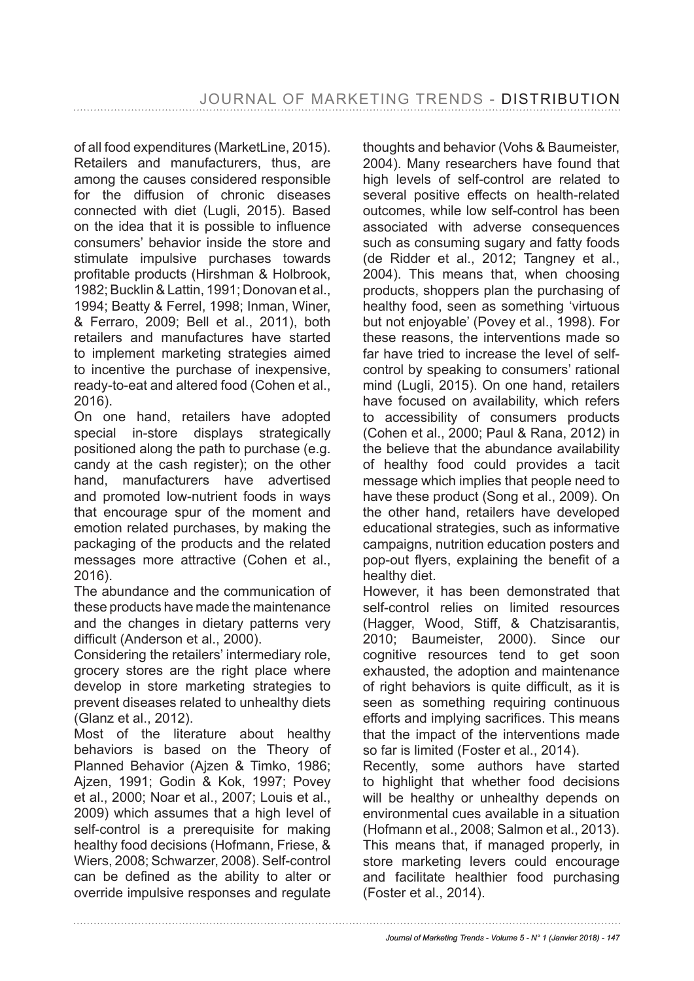of all food expenditures (MarketLine, 2015). Retailers and manufacturers, thus, are among the causes considered responsible for the diffusion of chronic diseases connected with diet (Lugli, 2015). Based on the idea that it is possible to infuence consumers' behavior inside the store and stimulate impulsive purchases towards profitable products (Hirshman & Holbrook, 1982; Bucklin & Lattin, 1991; Donovan et al., 1994; Beatty & Ferrel, 1998; Inman, Winer, & Ferraro, 2009; Bell et al., 2011), both retailers and manufactures have started to implement marketing strategies aimed to incentive the purchase of inexpensive, ready-to-eat and altered food (Cohen et al., 2016).

On one hand, retailers have adopted special in-store displays strategically positioned along the path to purchase (e.g. candy at the cash register); on the other hand, manufacturers have advertised and promoted low-nutrient foods in ways that encourage spur of the moment and emotion related purchases, by making the packaging of the products and the related messages more attractive (Cohen et al., 2016).

The abundance and the communication of these products have made the maintenance and the changes in dietary patterns very difficult (Anderson et al., 2000).

Considering the retailers' intermediary role, grocery stores are the right place where develop in store marketing strategies to prevent diseases related to unhealthy diets (Glanz et al., 2012).

Most of the literature about healthy behaviors is based on the Theory of Planned Behavior (Ajzen & Timko, 1986; Ajzen, 1991; Godin & Kok, 1997; Povey et al., 2000; Noar et al., 2007; Louis et al., 2009) which assumes that a high level of self-control is a prerequisite for making healthy food decisions (Hofmann, Friese, & Wiers, 2008; Schwarzer, 2008). Self-control can be defned as the ability to alter or override impulsive responses and regulate

thoughts and behavior (Vohs & Baumeister, 2004). Many researchers have found that high levels of self-control are related to several positive effects on health-related outcomes, while low self-control has been associated with adverse consequences such as consuming sugary and fatty foods (de Ridder et al., 2012; Tangney et al., 2004). This means that, when choosing products, shoppers plan the purchasing of healthy food, seen as something 'virtuous but not enjoyable' (Povey et al., 1998). For these reasons, the interventions made so far have tried to increase the level of selfcontrol by speaking to consumers' rational mind (Lugli, 2015). On one hand, retailers have focused on availability, which refers to accessibility of consumers products (Cohen et al., 2000; Paul & Rana, 2012) in the believe that the abundance availability of healthy food could provides a tacit message which implies that people need to have these product (Song et al., 2009). On the other hand, retailers have developed educational strategies, such as informative campaigns, nutrition education posters and pop-out flyers, explaining the benefit of a healthy diet.

However, it has been demonstrated that self-control relies on limited resources (Hagger, Wood, Stiff, & Chatzisarantis, 2010; Baumeister, 2000). Since our cognitive resources tend to get soon exhausted, the adoption and maintenance of right behaviors is quite difficult, as it is seen as something requiring continuous efforts and implying sacrifices. This means that the impact of the interventions made so far is limited (Foster et al., 2014).

Recently, some authors have started to highlight that whether food decisions will be healthy or unhealthy depends on environmental cues available in a situation (Hofmann et al., 2008; Salmon et al., 2013). This means that, if managed properly, in store marketing levers could encourage and facilitate healthier food purchasing (Foster et al., 2014).

*Journal of Marketing Trends - Volume 5 - N° 1 (Janvier 2018) - 147*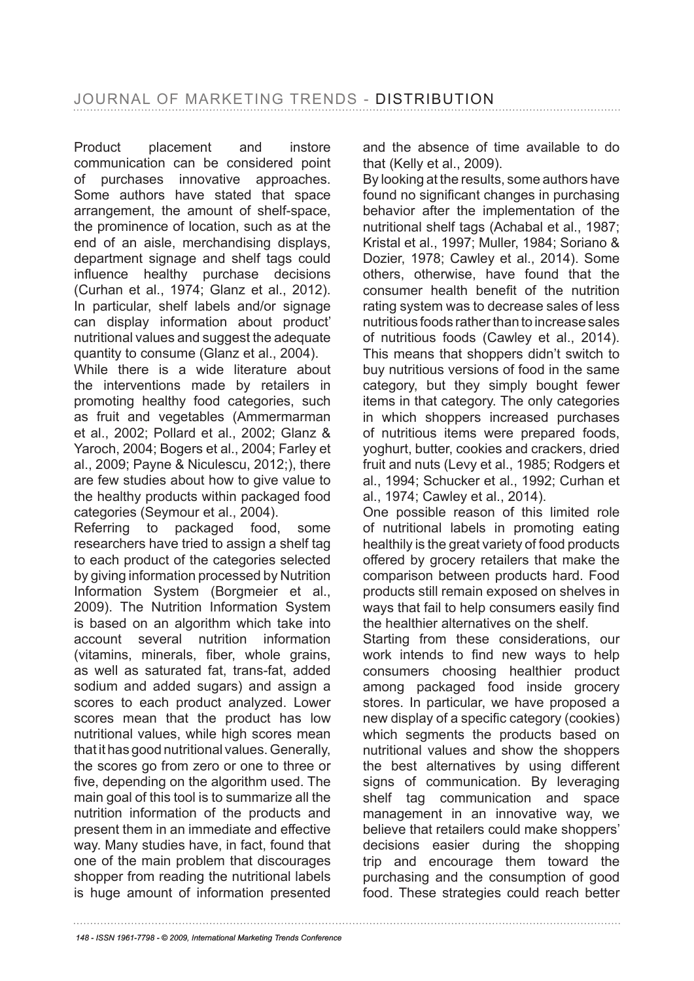Product placement and instore communication can be considered point of purchases innovative approaches. Some authors have stated that space arrangement, the amount of shelf-space, the prominence of location, such as at the end of an aisle, merchandising displays, department signage and shelf tags could infuence healthy purchase decisions (Curhan et al., 1974; Glanz et al., 2012). In particular, shelf labels and/or signage can display information about product' nutritional values and suggest the adequate quantity to consume (Glanz et al., 2004).

While there is a wide literature about the interventions made by retailers in promoting healthy food categories, such as fruit and vegetables (Ammermarman et al., 2002; Pollard et al., 2002; Glanz & Yaroch, 2004; Bogers et al., 2004; Farley et al., 2009; Payne & Niculescu, 2012;), there are few studies about how to give value to the healthy products within packaged food categories (Seymour et al., 2004).

Referring to packaged food, some researchers have tried to assign a shelf tag to each product of the categories selected by giving information processed by Nutrition Information System (Borgmeier et al., 2009). The Nutrition Information System is based on an algorithm which take into account several nutrition information (vitamins, minerals, fiber, whole grains, as well as saturated fat, trans-fat, added sodium and added sugars) and assign a scores to each product analyzed. Lower scores mean that the product has low nutritional values, while high scores mean that it has good nutritional values. Generally, the scores go from zero or one to three or fve, depending on the algorithm used. The main goal of this tool is to summarize all the nutrition information of the products and present them in an immediate and effective way. Many studies have, in fact, found that one of the main problem that discourages shopper from reading the nutritional labels is huge amount of information presented

and the absence of time available to do that (Kelly et al., 2009).

By looking at the results, some authors have found no significant changes in purchasing behavior after the implementation of the nutritional shelf tags (Achabal et al., 1987; Kristal et al., 1997; Muller, 1984; Soriano & Dozier, 1978; Cawley et al., 2014). Some others, otherwise, have found that the consumer health beneft of the nutrition rating system was to decrease sales of less nutritious foods rather than to increase sales of nutritious foods (Cawley et al., 2014). This means that shoppers didn't switch to buy nutritious versions of food in the same category, but they simply bought fewer items in that category. The only categories in which shoppers increased purchases of nutritious items were prepared foods, yoghurt, butter, cookies and crackers, dried fruit and nuts (Levy et al., 1985; Rodgers et al., 1994; Schucker et al., 1992; Curhan et al., 1974; Cawley et al., 2014).

One possible reason of this limited role of nutritional labels in promoting eating healthily is the great variety of food products offered by grocery retailers that make the comparison between products hard. Food products still remain exposed on shelves in ways that fail to help consumers easily find the healthier alternatives on the shelf.

Starting from these considerations, our work intends to find new ways to help consumers choosing healthier product among packaged food inside grocery stores. In particular, we have proposed a new display of a specific category (cookies) which segments the products based on nutritional values and show the shoppers the best alternatives by using different signs of communication. By leveraging shelf tag communication and space management in an innovative way, we believe that retailers could make shoppers' decisions easier during the shopping trip and encourage them toward the purchasing and the consumption of good food. These strategies could reach better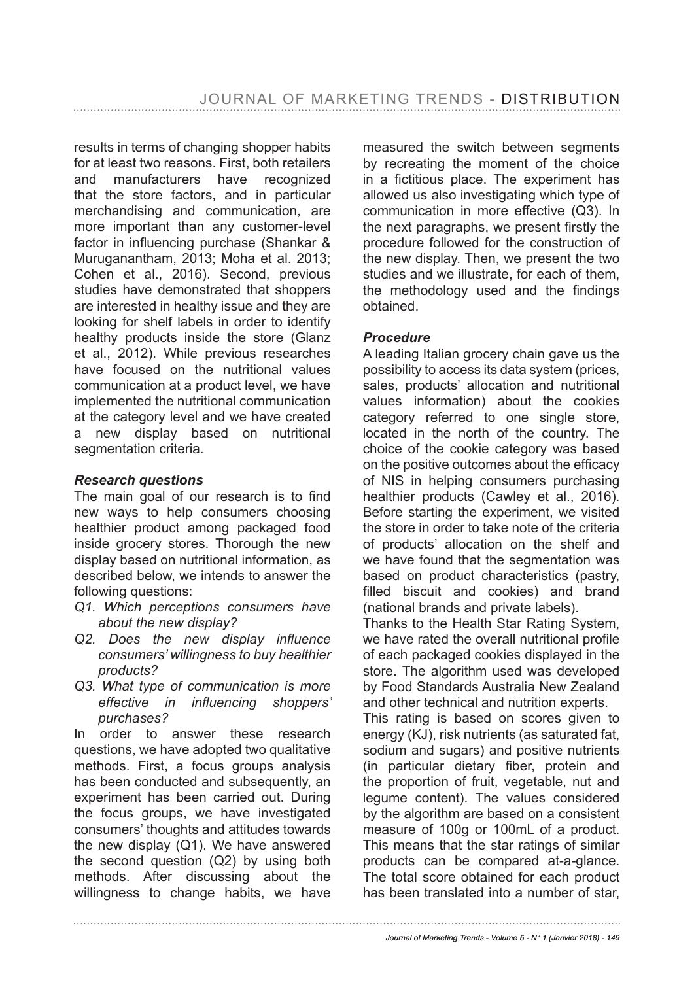results in terms of changing shopper habits for at least two reasons. First, both retailers and manufacturers have recognized that the store factors, and in particular merchandising and communication, are more important than any customer-level factor in infuencing purchase (Shankar & Muruganantham, 2013; Moha et al. 2013; Cohen et al., 2016). Second, previous studies have demonstrated that shoppers are interested in healthy issue and they are looking for shelf labels in order to identify healthy products inside the store (Glanz et al., 2012). While previous researches have focused on the nutritional values communication at a product level, we have implemented the nutritional communication at the category level and we have created a new display based on nutritional segmentation criteria.

### *Research questions*

The main goal of our research is to find new ways to help consumers choosing healthier product among packaged food inside grocery stores. Thorough the new display based on nutritional information, as described below, we intends to answer the following questions:

- *Q1. Which perceptions consumers have about the new display?*
- *Q2. Does the new display infuence consumers' willingness to buy healthier products?*
- *Q3. What type of communication is more effective in infuencing shoppers' purchases?*

In order to answer these research questions, we have adopted two qualitative methods. First, a focus groups analysis has been conducted and subsequently, an experiment has been carried out. During the focus groups, we have investigated consumers' thoughts and attitudes towards the new display (Q1). We have answered the second question (Q2) by using both methods. After discussing about the willingness to change habits, we have

measured the switch between segments by recreating the moment of the choice in a fictitious place. The experiment has allowed us also investigating which type of communication in more effective (Q3). In the next paragraphs, we present frstly the procedure followed for the construction of the new display. Then, we present the two studies and we illustrate, for each of them, the methodology used and the fndings obtained.

### *Procedure*

A leading Italian grocery chain gave us the possibility to access its data system (prices, sales, products' allocation and nutritional values information) about the cookies category referred to one single store, located in the north of the country. The choice of the cookie category was based on the positive outcomes about the efficacy of NIS in helping consumers purchasing healthier products (Cawley et al., 2016). Before starting the experiment, we visited the store in order to take note of the criteria of products' allocation on the shelf and we have found that the segmentation was based on product characteristics (pastry, filled biscuit and cookies) and brand (national brands and private labels).

Thanks to the Health Star Rating System, we have rated the overall nutritional profile of each packaged cookies displayed in the store. The algorithm used was developed by Food Standards Australia New Zealand and other technical and nutrition experts.

This rating is based on scores given to energy (KJ), risk nutrients (as saturated fat, sodium and sugars) and positive nutrients (in particular dietary fiber, protein and the proportion of fruit, vegetable, nut and legume content). The values considered by the algorithm are based on a consistent measure of 100g or 100mL of a product. This means that the star ratings of similar products can be compared at-a-glance. The total score obtained for each product has been translated into a number of star,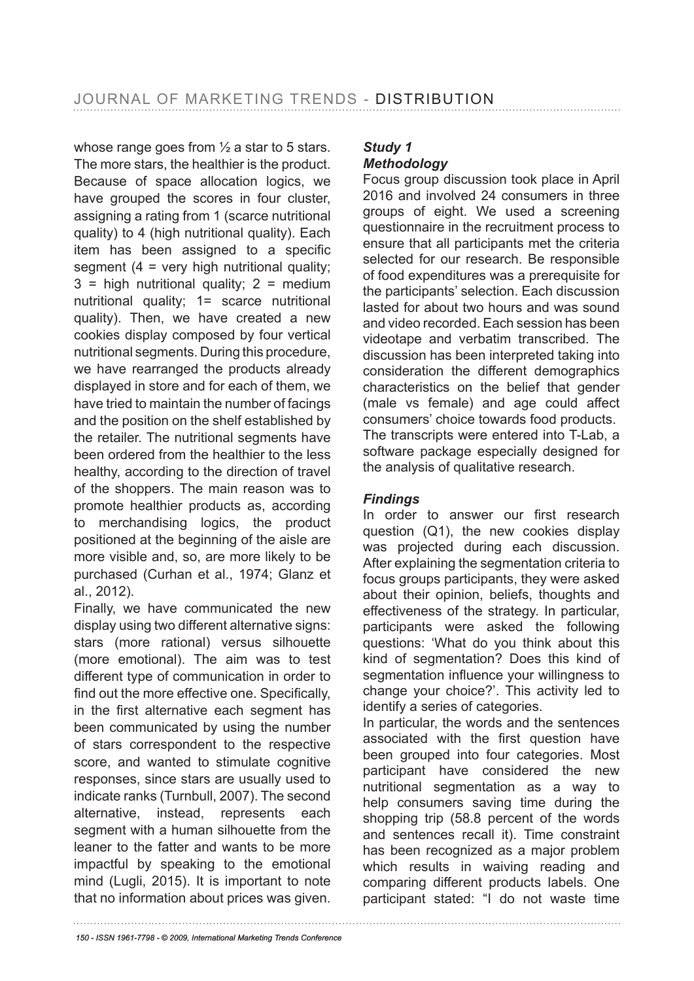whose range goes from  $\frac{1}{2}$  a star to 5 stars. The more stars, the healthier is the product. Because of space allocation logics, we have grouped the scores in four cluster. assigning a rating from 1 (scarce nutritional quality) to 4 (high nutritional quality). Each item has been assigned to a specific segment  $(4 = \text{very high nutritional quality})$  $3$  = high nutritional quality;  $2$  = medium nutritional quality; 1= scarce nutritional quality). Then, we have created a new cookies display composed by four vertical nutritional segments. During this procedure, we have rearranged the products already displayed in store and for each of them, we have tried to maintain the number of facings and the position on the shelf established by the retailer. The nutritional segments have been ordered from the healthier to the less healthy, according to the direction of travel of the shoppers. The main reason was to promote healthier products as, according to merchandising logics, the product positioned at the beginning of the aisle are more visible and, so, are more likely to be purchased (Curhan et al., 1974; Glanz et al., 2012).

Finally, we have communicated the new display using two different alternative signs: stars (more rational) versus silhouette (more emotional). The aim was to test different type of communication in order to find out the more effective one. Specifically, in the frst alternative each segment has been communicated by using the number of stars correspondent to the respective score, and wanted to stimulate cognitive responses, since stars are usually used to indicate ranks (Turnbull, 2007). The second alternative, instead, represents each segment with a human silhouette from the leaner to the fatter and wants to be more impactful by speaking to the emotional mind (Lugli, 2015). It is important to note that no information about prices was given.

### *Study 1 Methodology*

Focus group discussion took place in April 2016 and involved 24 consumers in three groups of eight. We used a screening questionnaire in the recruitment process to ensure that all participants met the criteria selected for our research. Be responsible of food expenditures was a prerequisite for the participants' selection. Each discussion lasted for about two hours and was sound and video recorded. Each session has been videotape and verbatim transcribed. The discussion has been interpreted taking into consideration the different demographics characteristics on the belief that gender (male vs female) and age could affect consumers' choice towards food products. The transcripts were entered into T-Lab, a software package especially designed for the analysis of qualitative research.

### *Findings*

In order to answer our first research question (Q1), the new cookies display was projected during each discussion. After explaining the segmentation criteria to focus groups participants, they were asked about their opinion, beliefs, thoughts and effectiveness of the strategy. In particular, participants were asked the following questions: 'What do you think about this kind of segmentation? Does this kind of segmentation infuence your willingness to change your choice?'. This activity led to identify a series of categories.

In particular, the words and the sentences associated with the frst question have been grouped into four categories. Most participant have considered the new nutritional segmentation as a way to help consumers saving time during the shopping trip (58.8 percent of the words and sentences recall it). Time constraint has been recognized as a major problem which results in waiving reading and comparing different products labels. One participant stated: "I do not waste time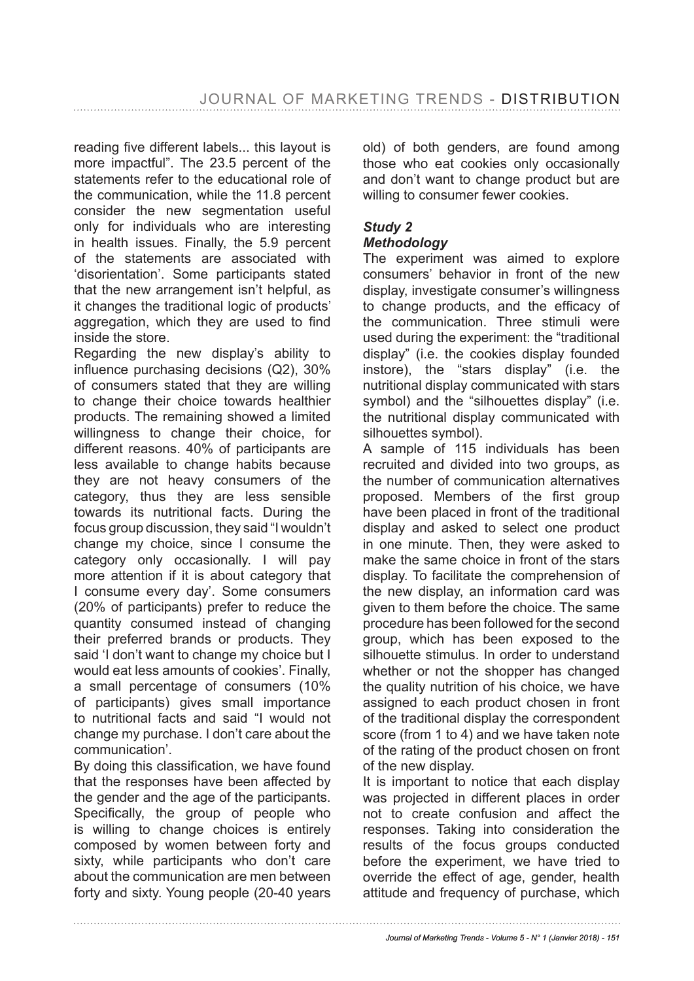reading fve different labels... this layout is more impactful". The 23.5 percent of the statements refer to the educational role of the communication, while the 11.8 percent consider the new segmentation useful only for individuals who are interesting in health issues. Finally, the 5.9 percent of the statements are associated with 'disorientation'. Some participants stated that the new arrangement isn't helpful, as it changes the traditional logic of products' aggregation, which they are used to find inside the store.

Regarding the new display's ability to infuence purchasing decisions (Q2), 30% of consumers stated that they are willing to change their choice towards healthier products. The remaining showed a limited willingness to change their choice, for different reasons. 40% of participants are less available to change habits because they are not heavy consumers of the category, thus they are less sensible towards its nutritional facts. During the focus group discussion, they said "I wouldn't change my choice, since I consume the category only occasionally. I will pay more attention if it is about category that I consume every day'. Some consumers (20% of participants) prefer to reduce the quantity consumed instead of changing their preferred brands or products. They said 'I don't want to change my choice but I would eat less amounts of cookies'. Finally, a small percentage of consumers (10% of participants) gives small importance to nutritional facts and said "I would not change my purchase. I don't care about the communication'.

By doing this classification, we have found that the responses have been affected by the gender and the age of the participants. Specifically, the group of people who is willing to change choices is entirely composed by women between forty and sixty, while participants who don't care about the communication are men between forty and sixty. Young people (20-40 years old) of both genders, are found among those who eat cookies only occasionally and don't want to change product but are willing to consumer fewer cookies.

# *Study 2*

### *Methodology*

The experiment was aimed to explore consumers' behavior in front of the new display, investigate consumer's willingness to change products, and the efficacy of the communication. Three stimuli were used during the experiment: the "traditional display" (i.e. the cookies display founded instore), the "stars display" (i.e. the nutritional display communicated with stars symbol) and the "silhouettes display" (i.e. the nutritional display communicated with silhouettes symbol).

A sample of 115 individuals has been recruited and divided into two groups, as the number of communication alternatives proposed. Members of the first group have been placed in front of the traditional display and asked to select one product in one minute. Then, they were asked to make the same choice in front of the stars display. To facilitate the comprehension of the new display, an information card was given to them before the choice. The same procedure has been followed for the second group, which has been exposed to the silhouette stimulus. In order to understand whether or not the shopper has changed the quality nutrition of his choice, we have assigned to each product chosen in front of the traditional display the correspondent score (from 1 to 4) and we have taken note of the rating of the product chosen on front of the new display.

It is important to notice that each display was projected in different places in order not to create confusion and affect the responses. Taking into consideration the results of the focus groups conducted before the experiment, we have tried to override the effect of age, gender, health attitude and frequency of purchase, which

*Journal of Marketing Trends - Volume 5 - N° 1 (Janvier 2018) - 151*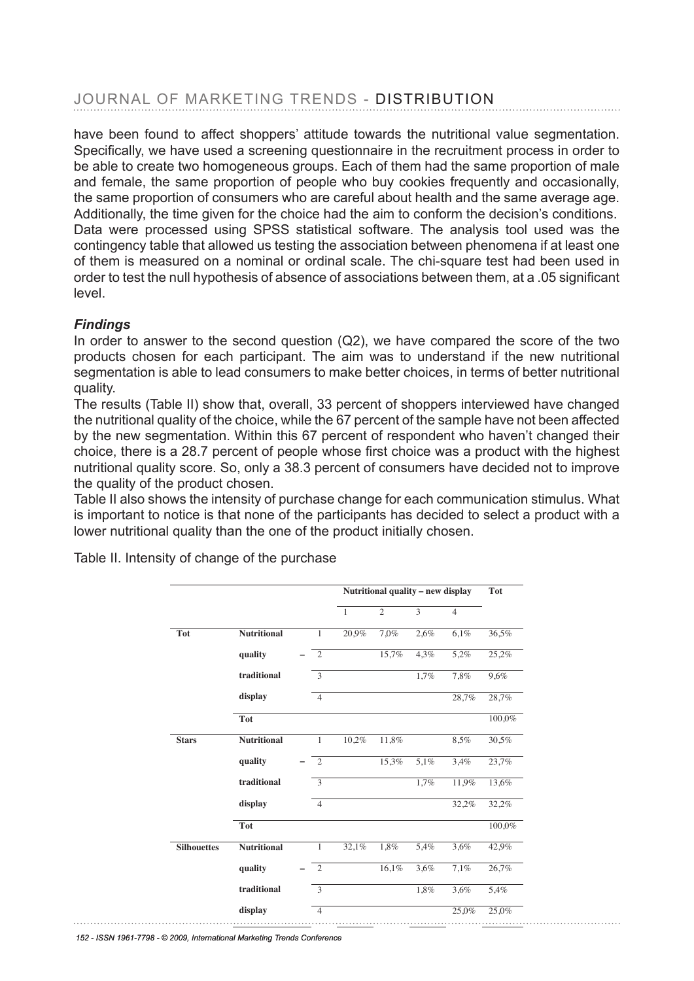# JOURNAL OF MARKETING TRENDS - DISTRIBUTION

have been found to affect shoppers' attitude towards the nutritional value segmentation. Specifcally, we have used a screening questionnaire in the recruitment process in order to be able to create two homogeneous groups. Each of them had the same proportion of male and female, the same proportion of people who buy cookies frequently and occasionally, the same proportion of consumers who are careful about health and the same average age. Additionally, the time given for the choice had the aim to conform the decision's conditions. Data were processed using SPSS statistical software. The analysis tool used was the contingency table that allowed us testing the association between phenomena if at least one of them is measured on a nominal or ordinal scale. The chi-square test had been used in order to test the null hypothesis of absence of associations between them, at a .05 signifcant level.

### *Findings*

In order to answer to the second question  $(Q2)$ , we have compared the score of the two products chosen for each participant. The aim was to understand if the new nutritional segmentation is able to lead consumers to make better choices, in terms of better nutritional quality.

The results (Table II) show that, overall, 33 percent of shoppers interviewed have changed the nutritional quality of the choice, while the 67 percent of the sample have not been affected by the new segmentation. Within this 67 percent of respondent who haven't changed their choice, there is a 28.7 percent of people whose first choice was a product with the highest nutritional quality score. So, only a 38.3 percent of consumers have decided not to improve the quality of the product chosen.

Table II also shows the intensity of purchase change for each communication stimulus. What Table II also shows the intensity of purchase change for each communication stimulus. What is important to notice is that none of the participants has decided to select a product with a is important to notice is that none of the participants has decided to select a product with a lower nutritional quality than the one of the product initially chosen. lower nutritional quality than the one of the product initially chosen.

|                    |                    |                | Nutritional quality - new display |                |                |                | Tot    |
|--------------------|--------------------|----------------|-----------------------------------|----------------|----------------|----------------|--------|
|                    |                    |                | $\overline{1}$                    | $\overline{2}$ | $\overline{3}$ | $\overline{4}$ |        |
| Tot                | <b>Nutritional</b> | $\mathbf{1}$   | 20,9%                             | 7,0%           | 2,6%           | 6,1%           | 36,5%  |
|                    | quality            | $\overline{2}$ |                                   | 15,7%          | 4,3%           | 5,2%           | 25,2%  |
|                    | traditional        | $\overline{3}$ |                                   |                | 1,7%           | 7,8%           | 9,6%   |
|                    | display            | $\overline{4}$ |                                   |                |                | 28,7%          | 28,7%  |
|                    | Tot                |                |                                   |                |                |                | 100,0% |
| <b>Stars</b>       | <b>Nutritional</b> | $\mathbf{1}$   | 10,2%                             | 11,8%          |                | 8,5%           | 30,5%  |
|                    | quality            | $\overline{2}$ |                                   | 15,3%          | 5,1%           | 3,4%           | 23,7%  |
|                    | traditional        | 3              |                                   |                | 1,7%           | 11,9%          | 13,6%  |
|                    | display            | $\overline{4}$ |                                   |                |                | 32,2%          | 32,2%  |
|                    | Tot                |                |                                   |                |                |                | 100,0% |
| <b>Silhouettes</b> | <b>Nutritional</b> | $\mathbf{1}$   | 32,1%                             | 1,8%           | 5,4%           | 3,6%           | 42,9%  |
|                    | quality            | $\overline{2}$ |                                   | 16,1%          | 3,6%           | 7,1%           | 26,7%  |
|                    | traditional        | $\overline{3}$ |                                   |                | 1,8%           | 3,6%           | 5,4%   |
|                    | display            | $\overline{4}$ |                                   |                |                | 25,0%          | 25,0%  |

Table II. Intensity of change of the purchase Table II. Intensity of change of the purchase

*152 - ISSN 1961-7798 - © 2009, International Marketing Trends Conference*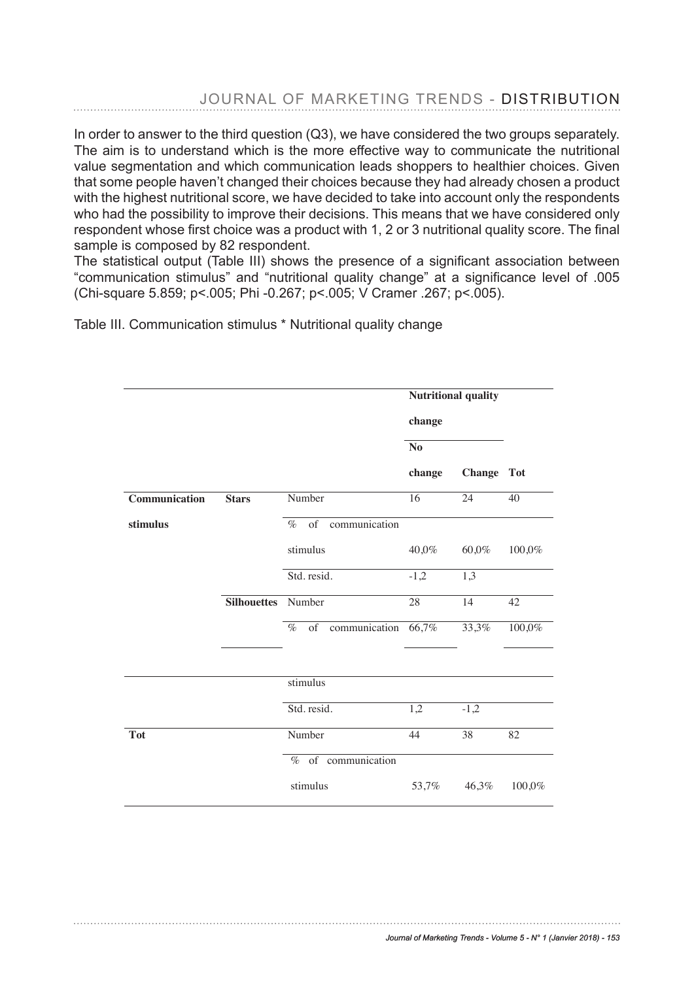## JOURNAL OF MARKETING TRENDS - DISTRIBUTION

In order to answer to the third question (Q3), we have considered the two groups separately. The aim is to understand which is the more effective way to communicate the nutritional value segmentation and which communication leads shoppers to healthier choices. Given that some people haven't changed their choices because they had already chosen a product with the highest nutritional score, we have decided to take into account only the respondents who had the possibility to improve their decisions. This means that we have considered only respondent whose frst choice was a product with 1, 2 or 3 nutritional quality score. The fnal respondent whose first choice was a product with 1, 2 or 3 nutritional quality score. The final sample is composed by 82 respondent. sample is composed by 82 respondent.

The statistical output (Table III) shows the presence of a signifcant association between "communication stimulus" and "nutritional quality change" at a significance level of .005 (Chi-square 5.859; p<.005; Phi -0.267; p<.005; V Cramer .267; p<.005).

Table III. Communication stimulus \* Nutritional quality change

|               |                    |                             | <b>Nutritional quality</b> |                 |                 |
|---------------|--------------------|-----------------------------|----------------------------|-----------------|-----------------|
|               |                    |                             | change                     |                 |                 |
|               |                    |                             | N <sub>o</sub>             |                 |                 |
|               |                    |                             | change                     | <b>Change</b>   | <b>Tot</b>      |
| Communication | <b>Stars</b>       | Number                      | $\overline{16}$            | 24              | 40              |
| stimulus      |                    | communication<br>$%$ of     |                            |                 |                 |
|               |                    | stimulus                    | 40,0%                      | 60,0%           | 100,0%          |
|               |                    | Std. resid.                 | $-1,2$                     | 1,3             |                 |
|               | <b>Silhouettes</b> | Number                      | 28                         | 14              | 42              |
|               |                    | communication<br>of<br>$\%$ | 66,7%                      | 33,3%           | 100,0%          |
|               |                    |                             |                            |                 |                 |
|               |                    | stimulus                    |                            |                 |                 |
|               |                    | Std. resid.                 | 1,2                        | $-1,2$          |                 |
| <b>Tot</b>    |                    | Number                      | 44                         | $\overline{38}$ | $\overline{82}$ |
|               |                    | % of communication          |                            |                 |                 |
|               |                    | stimulus                    | 53,7%                      | 46,3%           | 100,0%          |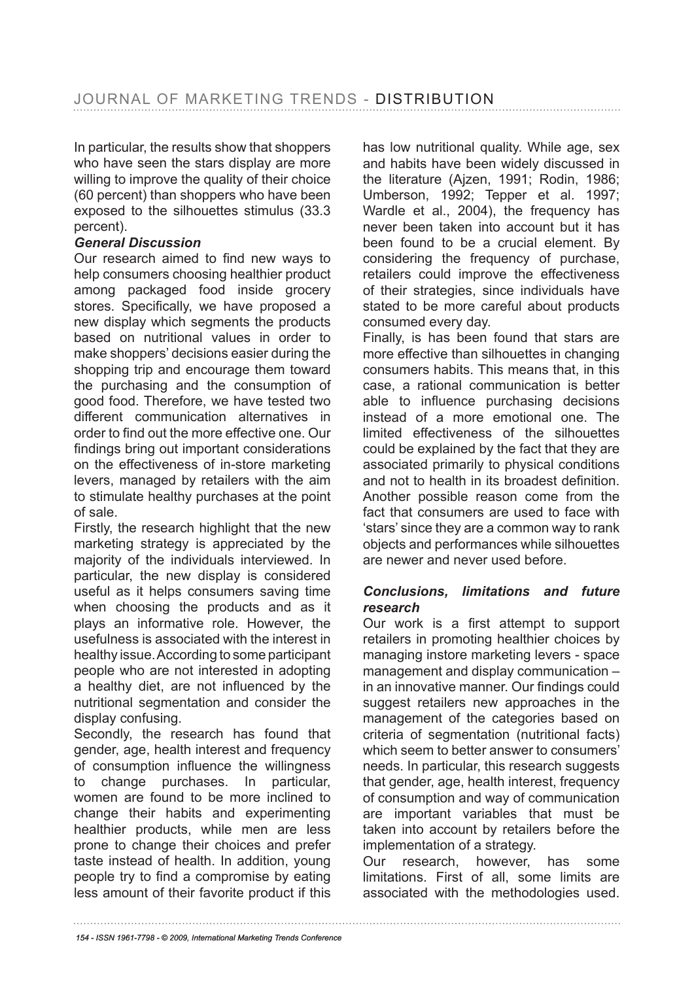In particular, the results show that shoppers who have seen the stars display are more willing to improve the quality of their choice (60 percent) than shoppers who have been exposed to the silhouettes stimulus (33.3 percent).

### *General Discussion*

Our research aimed to find new ways to help consumers choosing healthier product among packaged food inside grocery stores. Specifically, we have proposed a new display which segments the products based on nutritional values in order to make shoppers' decisions easier during the shopping trip and encourage them toward the purchasing and the consumption of good food. Therefore, we have tested two different communication alternatives in order to find out the more effective one. Our fndings bring out important considerations on the effectiveness of in-store marketing levers, managed by retailers with the aim to stimulate healthy purchases at the point of sale.

Firstly, the research highlight that the new marketing strategy is appreciated by the majority of the individuals interviewed. In particular, the new display is considered useful as it helps consumers saving time when choosing the products and as it plays an informative role. However, the usefulness is associated with the interest in healthy issue. According to some participant people who are not interested in adopting a healthy diet, are not infuenced by the nutritional segmentation and consider the display confusing.

Secondly, the research has found that gender, age, health interest and frequency of consumption infuence the willingness to change purchases. In particular, women are found to be more inclined to change their habits and experimenting healthier products, while men are less prone to change their choices and prefer taste instead of health. In addition, young people try to find a compromise by eating less amount of their favorite product if this

has low nutritional quality. While age, sex and habits have been widely discussed in the literature (Ajzen, 1991; Rodin, 1986; Umberson, 1992; Tepper et al. 1997; Wardle et al., 2004), the frequency has never been taken into account but it has been found to be a crucial element. By considering the frequency of purchase, retailers could improve the effectiveness of their strategies, since individuals have stated to be more careful about products consumed every day.

Finally, is has been found that stars are more effective than silhouettes in changing consumers habits. This means that, in this case, a rational communication is better able to infuence purchasing decisions instead of a more emotional one. The limited effectiveness of the silhouettes could be explained by the fact that they are associated primarily to physical conditions and not to health in its broadest definition. Another possible reason come from the fact that consumers are used to face with 'stars' since they are a common way to rank objects and performances while silhouettes are newer and never used before.

#### *Conclusions, limitations and future research*

Our work is a first attempt to support retailers in promoting healthier choices by managing instore marketing levers - space management and display communication – in an innovative manner. Our findings could suggest retailers new approaches in the management of the categories based on criteria of segmentation (nutritional facts) which seem to better answer to consumers' needs. In particular, this research suggests that gender, age, health interest, frequency of consumption and way of communication are important variables that must be taken into account by retailers before the implementation of a strategy.

Our research, however, has some limitations. First of all, some limits are associated with the methodologies used.

*<sup>154 -</sup> ISSN 1961-7798 - © 2009, International Marketing Trends Conference*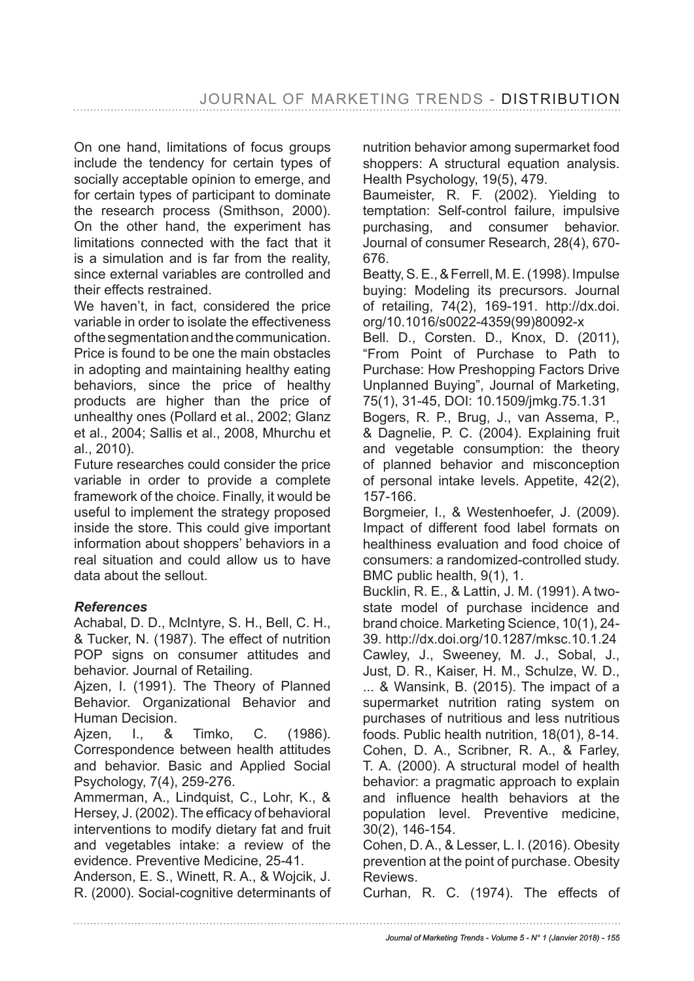On one hand, limitations of focus groups include the tendency for certain types of socially acceptable opinion to emerge, and for certain types of participant to dominate the research process (Smithson, 2000). On the other hand, the experiment has limitations connected with the fact that it is a simulation and is far from the reality, since external variables are controlled and their effects restrained.

We haven't, in fact, considered the price variable in order to isolate the effectiveness of the segmentation and the communication. Price is found to be one the main obstacles in adopting and maintaining healthy eating behaviors, since the price of healthy products are higher than the price of unhealthy ones (Pollard et al., 2002; Glanz et al., 2004; Sallis et al., 2008, Mhurchu et al., 2010).

Future researches could consider the price variable in order to provide a complete framework of the choice. Finally, it would be useful to implement the strategy proposed inside the store. This could give important information about shoppers' behaviors in a real situation and could allow us to have data about the sellout.

### *References*

Achabal, D. D., McIntyre, S. H., Bell, C. H., & Tucker, N. (1987). The effect of nutrition POP signs on consumer attitudes and behavior. Journal of Retailing.

Ajzen, I. (1991). The Theory of Planned Behavior. Organizational Behavior and Human Decision.

Ajzen, I., & Timko, C. (1986). Correspondence between health attitudes and behavior. Basic and Applied Social Psychology, 7(4), 259-276.

Ammerman, A., Lindquist, C., Lohr, K., & Hersey, J. (2002). The efficacy of behavioral interventions to modify dietary fat and fruit and vegetables intake: a review of the evidence. Preventive Medicine, 25-41.

Anderson, E. S., Winett, R. A., & Wojcik, J. R. (2000). Social-cognitive determinants of nutrition behavior among supermarket food shoppers: A structural equation analysis. Health Psychology, 19(5), 479.

Baumeister, R. F. (2002). Yielding to temptation: Self-control failure, impulsive purchasing, and consumer behavior. Journal of consumer Research, 28(4), 670- 676.

Beatty, S. E., & Ferrell, M. E. (1998). Impulse buying: Modeling its precursors. Journal of retailing, 74(2), 169-191. http://dx.doi. org/10.1016/s0022-4359(99)80092-x

Bell. D., Corsten. D., Knox, D. (2011), "From Point of Purchase to Path to Purchase: How Preshopping Factors Drive Unplanned Buying", Journal of Marketing, 75(1), 31-45, DOI: 10.1509/jmkg.75.1.31

Bogers, R. P., Brug, J., van Assema, P., & Dagnelie, P. C. (2004). Explaining fruit and vegetable consumption: the theory of planned behavior and misconception of personal intake levels. Appetite, 42(2), 157-166.

Borgmeier, I., & Westenhoefer, J. (2009). Impact of different food label formats on healthiness evaluation and food choice of consumers: a randomized-controlled study. BMC public health, 9(1), 1.

Bucklin, R. E., & Lattin, J. M. (1991). A twostate model of purchase incidence and brand choice. Marketing Science, 10(1), 24- 39. http://dx.doi.org/10.1287/mksc.10.1.24 Cawley, J., Sweeney, M. J., Sobal, J., Just, D. R., Kaiser, H. M., Schulze, W. D., ... & Wansink, B. (2015). The impact of a supermarket nutrition rating system on purchases of nutritious and less nutritious foods. Public health nutrition, 18(01), 8-14. Cohen, D. A., Scribner, R. A., & Farley, T. A. (2000). A structural model of health behavior: a pragmatic approach to explain and infuence health behaviors at the population level. Preventive medicine, 30(2), 146-154.

Cohen, D. A., & Lesser, L. I. (2016). Obesity prevention at the point of purchase. Obesity Reviews.

Curhan, R. C. (1974). The effects of

*Journal of Marketing Trends - Volume 5 - N° 1 (Janvier 2018) - 155*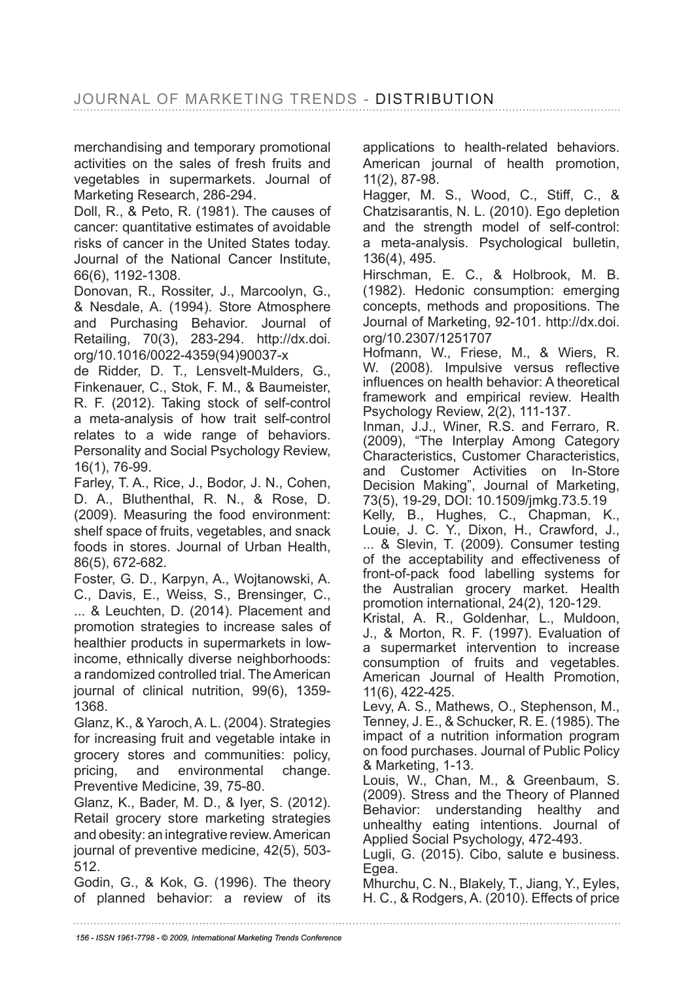merchandising and temporary promotional activities on the sales of fresh fruits and vegetables in supermarkets. Journal of Marketing Research, 286-294.

Doll, R., & Peto, R. (1981). The causes of cancer: quantitative estimates of avoidable risks of cancer in the United States today. Journal of the National Cancer Institute, 66(6), 1192-1308.

Donovan, R., Rossiter, J., Marcoolyn, G., & Nesdale, A. (1994). Store Atmosphere and Purchasing Behavior. Journal of Retailing, 70(3), 283-294. http://dx.doi. org/10.1016/0022-4359(94)90037-x

de Ridder, D. T., Lensvelt-Mulders, G., Finkenauer, C., Stok, F. M., & Baumeister, R. F. (2012). Taking stock of self-control a meta-analysis of how trait self-control relates to a wide range of behaviors. Personality and Social Psychology Review, 16(1), 76-99.

Farley, T. A., Rice, J., Bodor, J. N., Cohen, D. A., Bluthenthal, R. N., & Rose, D. (2009). Measuring the food environment: shelf space of fruits, vegetables, and snack foods in stores. Journal of Urban Health, 86(5), 672-682.

Foster, G. D., Karpyn, A., Wojtanowski, A. C., Davis, E., Weiss, S., Brensinger, C., ... & Leuchten, D. (2014). Placement and promotion strategies to increase sales of healthier products in supermarkets in lowincome, ethnically diverse neighborhoods: a randomized controlled trial. The American journal of clinical nutrition, 99(6), 1359- 1368.

Glanz, K., & Yaroch, A. L. (2004). Strategies for increasing fruit and vegetable intake in grocery stores and communities: policy, pricing, and environmental change. Preventive Medicine, 39, 75-80.

Glanz, K., Bader, M. D., & Iyer, S. (2012). Retail grocery store marketing strategies and obesity: an integrative review. American journal of preventive medicine, 42(5), 503- 512.

Godin, G., & Kok, G. (1996). The theory of planned behavior: a review of its applications to health-related behaviors. American journal of health promotion, 11(2), 87-98.

Hagger, M. S., Wood, C., Stiff, C., & Chatzisarantis, N. L. (2010). Ego depletion and the strength model of self-control: a meta-analysis. Psychological bulletin, 136(4), 495.

Hirschman, E. C., & Holbrook, M. B. (1982). Hedonic consumption: emerging concepts, methods and propositions. The Journal of Marketing, 92-101. http://dx.doi. org/10.2307/1251707

Hofmann, W., Friese, M., & Wiers, R. W. (2008). Impulsive versus reflective infuences on health behavior: A theoretical framework and empirical review. Health Psychology Review, 2(2), 111-137.

Inman, J.J., Winer, R.S. and Ferraro, R. (2009), "The Interplay Among Category Characteristics, Customer Characteristics, and Customer Activities on In-Store Decision Making", Journal of Marketing, 73(5), 19-29, DOI: 10.1509/jmkg.73.5.19

Kelly, B., Hughes, C., Chapman, K., Louie, J. C. Y., Dixon, H., Crawford, J., ... & Slevin, T. (2009). Consumer testing of the acceptability and effectiveness of front-of-pack food labelling systems for the Australian grocery market. Health promotion international, 24(2), 120-129.

Kristal, A. R., Goldenhar, L., Muldoon, J., & Morton, R. F. (1997). Evaluation of a supermarket intervention to increase consumption of fruits and vegetables. American Journal of Health Promotion, 11(6), 422-425.

Levy, A. S., Mathews, O., Stephenson, M., Tenney, J. E., & Schucker, R. E. (1985). The impact of a nutrition information program on food purchases. Journal of Public Policy & Marketing, 1-13.

Louis, W., Chan, M., & Greenbaum, S. (2009). Stress and the Theory of Planned Behavior: understanding healthy and unhealthy eating intentions. Journal of Applied Social Psychology, 472-493.

Lugli, G. (2015). Cibo, salute e business. Egea.

Mhurchu, C. N., Blakely, T., Jiang, Y., Eyles, H. C., & Rodgers, A. (2010). Effects of price

*156 - ISSN 1961-7798 - © 2009, International Marketing Trends Conference*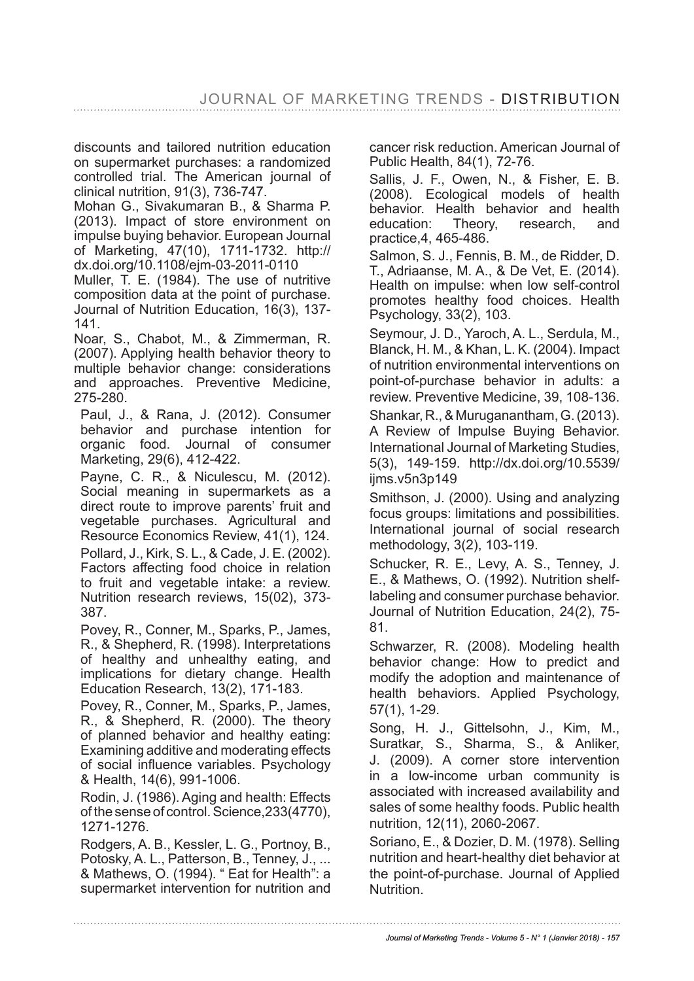discounts and tailored nutrition education on supermarket purchases: a randomized controlled trial. The American journal of clinical nutrition, 91(3), 736-747.

Mohan G., Sivakumaran B., & Sharma P. (2013). Impact of store environment on impulse buying behavior. European Journal of Marketing, 47(10), 1711-1732. http:// dx.doi.org/10.1108/ejm-03-2011-0110

Muller, T. E. (1984). The use of nutritive composition data at the point of purchase. Journal of Nutrition Education, 16(3), 137- 141.

Noar, S., Chabot, M., & Zimmerman, R. (2007). Applying health behavior theory to multiple behavior change: considerations and approaches. Preventive Medicine, 275-280.

Paul, J., & Rana, J. (2012). Consumer behavior and purchase intention for<br>organic food. Journal of consumer Journal of consumer Marketing, 29(6), 412-422.

Payne, C. R., & Niculescu, M. (2012). Social meaning in supermarkets as a direct route to improve parents' fruit and vegetable purchases. Agricultural and Resource Economics Review, 41(1), 124. Pollard, J., Kirk, S. L., & Cade, J. E. (2002). Factors affecting food choice in relation to fruit and vegetable intake: a review. Nutrition research reviews, 15(02), 373- 387.

Povey, R., Conner, M., Sparks, P., James, R., & Shepherd, R. (1998). Interpretations of healthy and unhealthy eating, and implications for dietary change. Health Education Research, 13(2), 171-183.

Povey, R., Conner, M., Sparks, P., James, R., & Shepherd, R. (2000). The theory of planned behavior and healthy eating: Examining additive and moderating effects of social infuence variables. Psychology & Health, 14(6), 991-1006.

Rodin, J. (1986). Aging and health: Effects of the sense of control. Science, 233(4770), 1271-1276.

Rodgers, A. B., Kessler, L. G., Portnoy, B., Potosky, A. L., Patterson, B., Tenney, J., ... & Mathews, O. (1994). " Eat for Health": a supermarket intervention for nutrition and cancer risk reduction. American Journal of Public Health, 84(1), 72-76.

Sallis, J. F., Owen, N., & Fisher, E. B. (2008). Ecological models of health behavior. Health behavior and health education: Theory, research, and practice,4, 465-486.

Salmon, S. J., Fennis, B. M., de Ridder, D. T., Adriaanse, M. A., & De Vet, E. (2014). Health on impulse: when low self-control promotes healthy food choices. Health Psychology, 33(2), 103.

Seymour, J. D., Yaroch, A. L., Serdula, M., Blanck, H. M., & Khan, L. K. (2004). Impact of nutrition environmental interventions on point-of-purchase behavior in adults: a review. Preventive Medicine, 39, 108-136.

Shankar, R., & Muruganantham, G. (2013). A Review of Impulse Buying Behavior. International Journal of Marketing Studies, 5(3), 149-159. http://dx.doi.org/10.5539/ ijms.v5n3p149

Smithson, J. (2000). Using and analyzing focus groups: limitations and possibilities. International journal of social research methodology, 3(2), 103-119.

Schucker, R. E., Levy, A. S., Tenney, J. E., & Mathews, O. (1992). Nutrition shelflabeling and consumer purchase behavior. Journal of Nutrition Education, 24(2), 75- 81.

Schwarzer, R. (2008). Modeling health behavior change: How to predict and modify the adoption and maintenance of health behaviors. Applied Psychology, 57(1), 1-29.

Song, H. J., Gittelsohn, J., Kim, M., Suratkar, S., Sharma, S., & Anliker, J. (2009). A corner store intervention in a low-income urban community is associated with increased availability and sales of some healthy foods. Public health nutrition, 12(11), 2060-2067.

Soriano, E., & Dozier, D. M. (1978). Selling nutrition and heart-healthy diet behavior at the point-of-purchase. Journal of Applied Nutrition.

*Journal of Marketing Trends - Volume 5 - N° 1 (Janvier 2018) - 157*